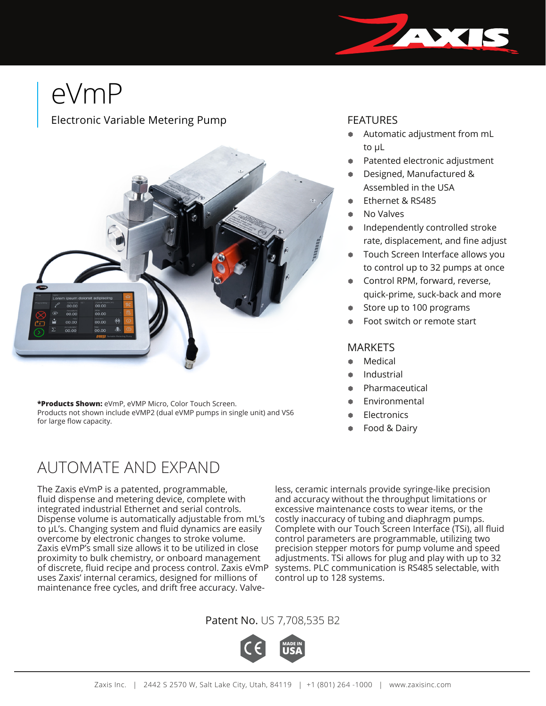# eVmP

#### Electronic Variable Metering Pump



**\*Products Shown:** eVmP, eVMP Micro, Color Touch Screen. Products not shown include eVMP2 (dual eVMP pumps in single unit) and VS6 for large flow capacity.

## AUTOMATE AND EXPAND

The Zaxis eVmP is a patented, programmable, fluid dispense and metering device, complete with integrated industrial Ethernet and serial controls. Dispense volume is automatically adjustable from mL's to μL's. Changing system and fluid dynamics are easily overcome by electronic changes to stroke volume. Zaxis eVmP's small size allows it to be utilized in close proximity to bulk chemistry, or onboard management of discrete, fluid recipe and process control. Zaxis eVmP uses Zaxis' internal ceramics, designed for millions of maintenance free cycles, and drift free accuracy. Valve-

less, ceramic internals provide syringe-like precision and accuracy without the throughput limitations or excessive maintenance costs to wear items, or the costly inaccuracy of tubing and diaphragm pumps. Complete with our Touch Screen Interface (TSi), all fluid control parameters are programmable, utilizing two precision stepper motors for pump volume and speed adjustments. TSi allows for plug and play with up to 32 systems. PLC communication is RS485 selectable, with control up to 128 systems.

#### Patent No. US 7,708,535 B2



#### FEATURES

- Automatic adjustment from mL to μL
- Patented electronic adjustment
- Designed, Manufactured & Assembled in the USA
- **Ethernet & RS485**
- No Valves
- Independently controlled stroke rate, displacement, and fine adjust
- Touch Screen Interface allows you to control up to 32 pumps at once
- Control RPM, forward, reverse, quick-prime, suck-back and more
- Store up to 100 programs
- Foot switch or remote start

#### **MARKETS**

- **Medical**
- **Industrial**
- Pharmaceutical
- **Environmental**
- **Electronics**
- Food & Dairy